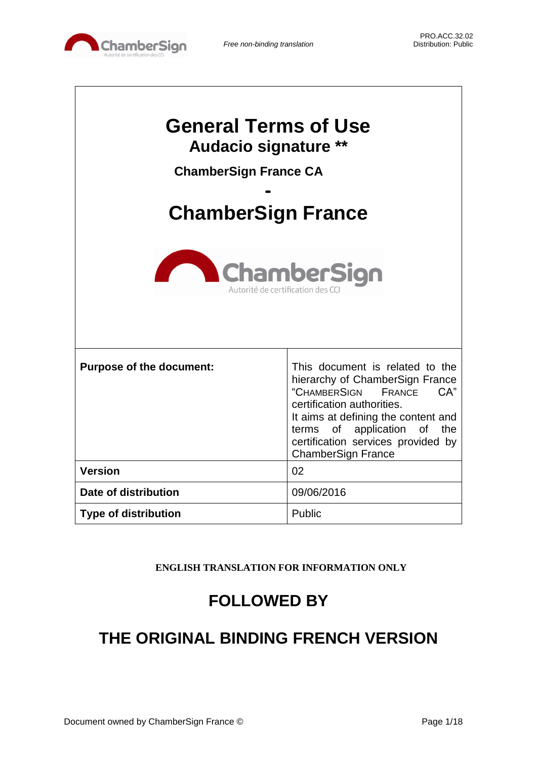

| <b>General Terms of Use</b><br><b>Audacio signature **</b><br><b>ChamberSign France CA</b><br><b>ChamberSign France</b> |                                                                                                                                                                                                                                                                                  |  |
|-------------------------------------------------------------------------------------------------------------------------|----------------------------------------------------------------------------------------------------------------------------------------------------------------------------------------------------------------------------------------------------------------------------------|--|
| <b>ChamberSign</b><br>Autorité de certification des CC                                                                  |                                                                                                                                                                                                                                                                                  |  |
| <b>Purpose of the document:</b>                                                                                         | This document is related to the<br>hierarchy of ChamberSign France<br>"CHAMBERSIGN<br>CA"<br>FRANCE<br>certification authorities.<br>It aims at defining the content and<br>of application of<br>the<br>terms<br>certification services provided by<br><b>ChamberSign France</b> |  |
| <b>Version</b>                                                                                                          | 02                                                                                                                                                                                                                                                                               |  |
| Date of distribution                                                                                                    | 09/06/2016                                                                                                                                                                                                                                                                       |  |
| <b>Type of distribution</b>                                                                                             | Public                                                                                                                                                                                                                                                                           |  |

**ENGLISH TRANSLATION FOR INFORMATION ONLY**

# **FOLLOWED BY**

# **THE ORIGINAL BINDING FRENCH VERSION**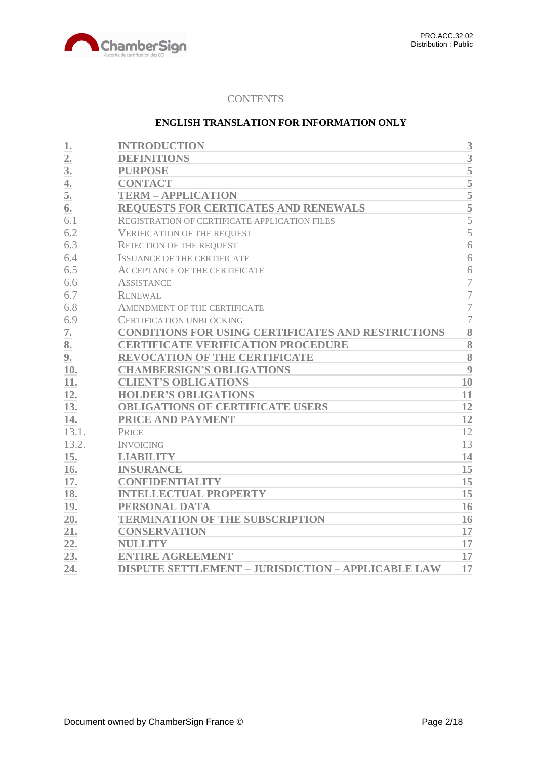

# **CONTENTS**

## **ENGLISH TRANSLATION FOR INFORMATION ONLY**

| 1.               | <b>INTRODUCTION</b>                                       | 3                  |
|------------------|-----------------------------------------------------------|--------------------|
| $\overline{2}$ . | <b>DEFINITIONS</b>                                        | 3                  |
| 3 <sub>l</sub>   | <b>PURPOSE</b>                                            | 5                  |
| 4.               | <b>CONTACT</b>                                            | $\overline{5}$     |
| 5.               | <b>TERM - APPLICATION</b>                                 | 5                  |
| 6.               | REQUESTS FOR CERTICATES AND RENEWALS                      | $\overline{5}$     |
| 6.1              | REGISTRATION OF CERTIFICATE APPLICATION FILES             | 5                  |
| 6.2              | <b>VERIFICATION OF THE REQUEST</b>                        | 5                  |
| 6.3              | <b>REJECTION OF THE REQUEST</b>                           | 6                  |
| 6.4              | <b>ISSUANCE OF THE CERTIFICATE</b>                        | 6                  |
| 6.5              | <b>ACCEPTANCE OF THE CERTIFICATE</b>                      | 6                  |
| 6.6              | <b>ASSISTANCE</b>                                         | 7                  |
| 6.7              | <b>RENEWAL</b>                                            | $\overline{7}$     |
| 6.8              | AMENDMENT OF THE CERTIFICATE                              | $\overline{7}$     |
| 6.9              | <b>CERTIFICATION UNBLOCKING</b>                           | $\overline{7}$     |
| 7.               | <b>CONDITIONS FOR USING CERTIFICATES AND RESTRICTIONS</b> | 8                  |
| 8.               | <b>CERTIFICATE VERIFICATION PROCEDURE</b>                 | 8                  |
| 9.               | <b>REVOCATION OF THE CERTIFICATE</b>                      | $\overline{\bf 8}$ |
| 10.              | <b>CHAMBERSIGN'S OBLIGATIONS</b>                          | 9                  |
| 11.              | <b>CLIENT'S OBLIGATIONS</b>                               | 10                 |
| 12.              | <b>HOLDER'S OBLIGATIONS</b>                               | 11                 |
| 13.              | <b>OBLIGATIONS OF CERTIFICATE USERS</b>                   | 12                 |
| 14.              | PRICE AND PAYMENT                                         | 12                 |
| 13.1.            | <b>PRICE</b>                                              | 12                 |
| 13.2.            | <b>INVOICING</b>                                          | 13                 |
| 15.              | <b>LIABILITY</b>                                          | 14                 |
| 16.              | <b>INSURANCE</b>                                          | 15                 |
| 17.              | <b>CONFIDENTIALITY</b>                                    | 15                 |
| 18.              | <b>INTELLECTUAL PROPERTY</b>                              | 15                 |
| 19.              | PERSONAL DATA                                             | 16                 |
| 20.              | <b>TERMINATION OF THE SUBSCRIPTION</b>                    | 16                 |
| 21.              | <b>CONSERVATION</b>                                       | 17                 |
| 22.              | <b>NULLITY</b>                                            | 17                 |
| 23.              | <b>ENTIRE AGREEMENT</b>                                   | 17                 |
| 24.              | <b>DISPUTE SETTLEMENT - JURISDICTION - APPLICABLE LAW</b> | 17                 |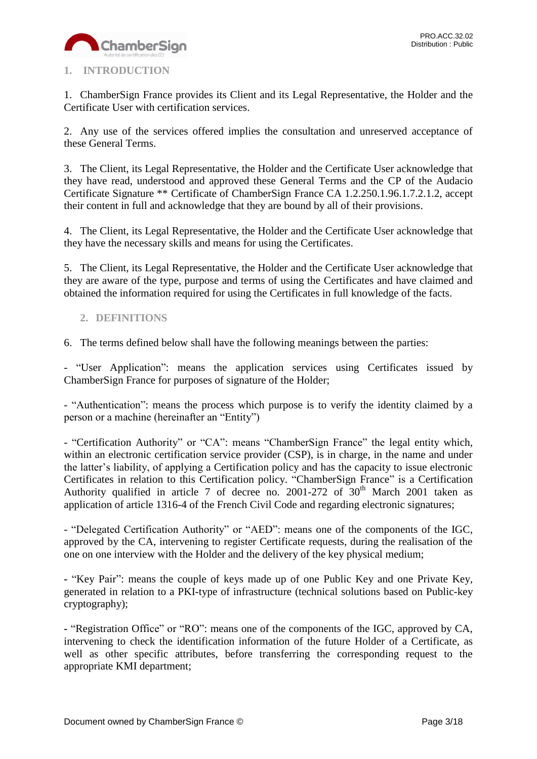

# <span id="page-2-0"></span>**1. INTRODUCTION**

1. ChamberSign France provides its Client and its Legal Representative, the Holder and the Certificate User with certification services.

2. Any use of the services offered implies the consultation and unreserved acceptance of these General Terms.

3. The Client, its Legal Representative, the Holder and the Certificate User acknowledge that they have read, understood and approved these General Terms and the CP of the Audacio Certificate Signature \*\* Certificate of ChamberSign France CA 1.2.250.1.96.1.7.2.1.2, accept their content in full and acknowledge that they are bound by all of their provisions.

4. The Client, its Legal Representative, the Holder and the Certificate User acknowledge that they have the necessary skills and means for using the Certificates.

5. The Client, its Legal Representative, the Holder and the Certificate User acknowledge that they are aware of the type, purpose and terms of using the Certificates and have claimed and obtained the information required for using the Certificates in full knowledge of the facts.

# <span id="page-2-1"></span>**2. DEFINITIONS**

6. The terms defined below shall have the following meanings between the parties:

- "User Application": means the application services using Certificates issued by ChamberSign France for purposes of signature of the Holder;

- "Authentication": means the process which purpose is to verify the identity claimed by a person or a machine (hereinafter an "Entity")

- "Certification Authority" or "CA": means "ChamberSign France" the legal entity which, within an electronic certification service provider (CSP), is in charge, in the name and under the latter's liability, of applying a Certification policy and has the capacity to issue electronic Certificates in relation to this Certification policy. "ChamberSign France" is a Certification Authority qualified in article 7 of decree no. 2001-272 of  $30<sup>th</sup>$  March 2001 taken as application of article 1316-4 of the French Civil Code and regarding electronic signatures;

- "Delegated Certification Authority" or "AED": means one of the components of the IGC, approved by the CA, intervening to register Certificate requests, during the realisation of the one on one interview with the Holder and the delivery of the key physical medium;

**-** "Key Pair": means the couple of keys made up of one Public Key and one Private Key, generated in relation to a PKI-type of infrastructure (technical solutions based on Public-key cryptography);

**-** "Registration Office" or "RO": means one of the components of the IGC, approved by CA, intervening to check the identification information of the future Holder of a Certificate, as well as other specific attributes, before transferring the corresponding request to the appropriate KMI department;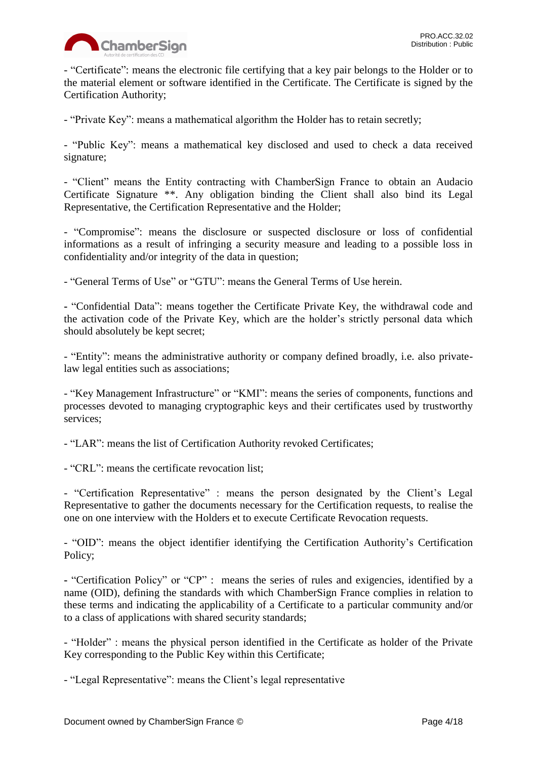

- "Certificate": means the electronic file certifying that a key pair belongs to the Holder or to the material element or software identified in the Certificate. The Certificate is signed by the Certification Authority;

- "Private Key": means a mathematical algorithm the Holder has to retain secretly;

- "Public Key": means a mathematical key disclosed and used to check a data received signature;

- "Client" means the Entity contracting with ChamberSign France to obtain an Audacio Certificate Signature \*\*. Any obligation binding the Client shall also bind its Legal Representative, the Certification Representative and the Holder;

- "Compromise": means the disclosure or suspected disclosure or loss of confidential informations as a result of infringing a security measure and leading to a possible loss in confidentiality and/or integrity of the data in question;

- "General Terms of Use" or "GTU": means the General Terms of Use herein.

**-** "Confidential Data": means together the Certificate Private Key, the withdrawal code and the activation code of the Private Key, which are the holder's strictly personal data which should absolutely be kept secret;

- "Entity": means the administrative authority or company defined broadly, i.e. also privatelaw legal entities such as associations;

- "Key Management Infrastructure" or "KMI": means the series of components, functions and processes devoted to managing cryptographic keys and their certificates used by trustworthy services;

- "LAR": means the list of Certification Authority revoked Certificates;

- "CRL": means the certificate revocation list;

- "Certification Representative" : means the person designated by the Client's Legal Representative to gather the documents necessary for the Certification requests, to realise the one on one interview with the Holders et to execute Certificate Revocation requests.

- "OID": means the object identifier identifying the Certification Authority's Certification Policy;

**-** "Certification Policy" or "CP" : means the series of rules and exigencies, identified by a name (OID), defining the standards with which ChamberSign France complies in relation to these terms and indicating the applicability of a Certificate to a particular community and/or to a class of applications with shared security standards;

- "Holder" : means the physical person identified in the Certificate as holder of the Private Key corresponding to the Public Key within this Certificate;

- "Legal Representative": means the Client's legal representative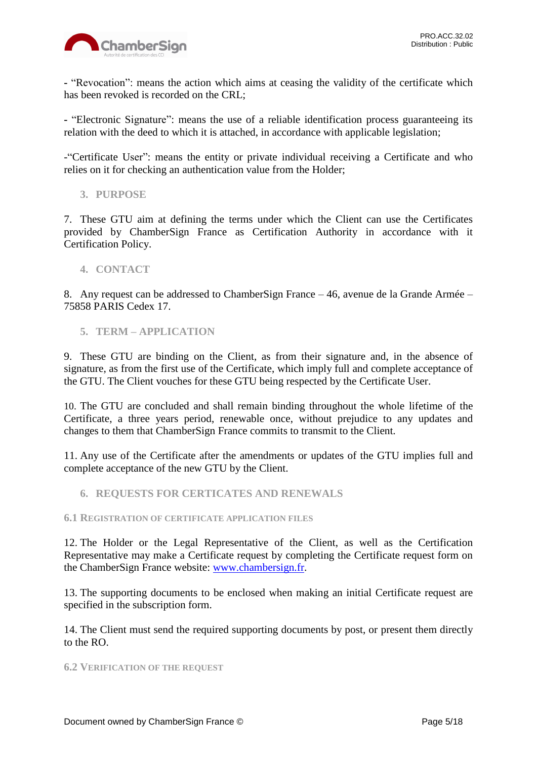

**-** "Revocation": means the action which aims at ceasing the validity of the certificate which has been revoked is recorded on the CRL;

**-** "Electronic Signature": means the use of a reliable identification process guaranteeing its relation with the deed to which it is attached, in accordance with applicable legislation;

-"Certificate User": means the entity or private individual receiving a Certificate and who relies on it for checking an authentication value from the Holder;

<span id="page-4-0"></span>**3. PURPOSE**

7. These GTU aim at defining the terms under which the Client can use the Certificates provided by ChamberSign France as Certification Authority in accordance with it Certification Policy.

## <span id="page-4-1"></span>**4. CONTACT**

8. Any request can be addressed to ChamberSign France – 46, avenue de la Grande Armée – 75858 PARIS Cedex 17.

## <span id="page-4-2"></span>**5. TERM – APPLICATION**

9. These GTU are binding on the Client, as from their signature and, in the absence of signature, as from the first use of the Certificate, which imply full and complete acceptance of the GTU. The Client vouches for these GTU being respected by the Certificate User.

10. The GTU are concluded and shall remain binding throughout the whole lifetime of the Certificate, a three years period, renewable once, without prejudice to any updates and changes to them that ChamberSign France commits to transmit to the Client.

11. Any use of the Certificate after the amendments or updates of the GTU implies full and complete acceptance of the new GTU by the Client.

## <span id="page-4-3"></span>**6. REQUESTS FOR CERTICATES AND RENEWALS**

#### <span id="page-4-4"></span>**6.1 REGISTRATION OF CERTIFICATE APPLICATION FILES**

12. The Holder or the Legal Representative of the Client, as well as the Certification Representative may make a Certificate request by completing the Certificate request form on the ChamberSign France website: [www.chambersign.fr.](http://www.chambersign.fr/)

13. The supporting documents to be enclosed when making an initial Certificate request are specified in the subscription form.

14. The Client must send the required supporting documents by post, or present them directly to the RO.

#### <span id="page-4-5"></span>**6.2 VERIFICATION OF THE REQUEST**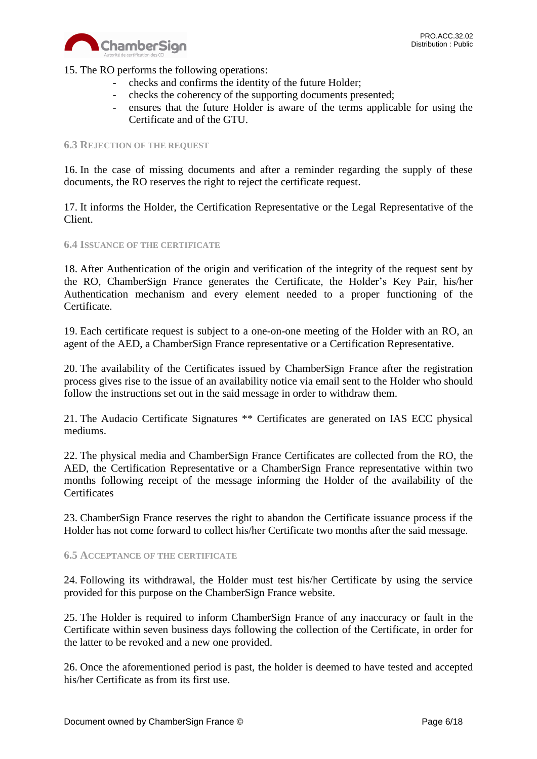

15. The RO performs the following operations:

- checks and confirms the identity of the future Holder;
- checks the coherency of the supporting documents presented;
- ensures that the future Holder is aware of the terms applicable for using the Certificate and of the GTU.

#### <span id="page-5-0"></span>**6.3 REJECTION OF THE REQUEST**

16. In the case of missing documents and after a reminder regarding the supply of these documents, the RO reserves the right to reject the certificate request.

17. It informs the Holder, the Certification Representative or the Legal Representative of the Client.

#### <span id="page-5-1"></span>**6.4 ISSUANCE OF THE CERTIFICATE**

18. After Authentication of the origin and verification of the integrity of the request sent by the RO, ChamberSign France generates the Certificate, the Holder's Key Pair, his/her Authentication mechanism and every element needed to a proper functioning of the Certificate.

19. Each certificate request is subject to a one-on-one meeting of the Holder with an RO, an agent of the AED, a ChamberSign France representative or a Certification Representative.

20. The availability of the Certificates issued by ChamberSign France after the registration process gives rise to the issue of an availability notice via email sent to the Holder who should follow the instructions set out in the said message in order to withdraw them.

21. The Audacio Certificate Signatures \*\* Certificates are generated on IAS ECC physical mediums.

22. The physical media and ChamberSign France Certificates are collected from the RO, the AED, the Certification Representative or a ChamberSign France representative within two months following receipt of the message informing the Holder of the availability of the **Certificates** 

23. ChamberSign France reserves the right to abandon the Certificate issuance process if the Holder has not come forward to collect his/her Certificate two months after the said message.

#### <span id="page-5-2"></span>**6.5 ACCEPTANCE OF THE CERTIFICATE**

24. Following its withdrawal, the Holder must test his/her Certificate by using the service provided for this purpose on the ChamberSign France website.

25. The Holder is required to inform ChamberSign France of any inaccuracy or fault in the Certificate within seven business days following the collection of the Certificate, in order for the latter to be revoked and a new one provided.

26. Once the aforementioned period is past, the holder is deemed to have tested and accepted his/her Certificate as from its first use.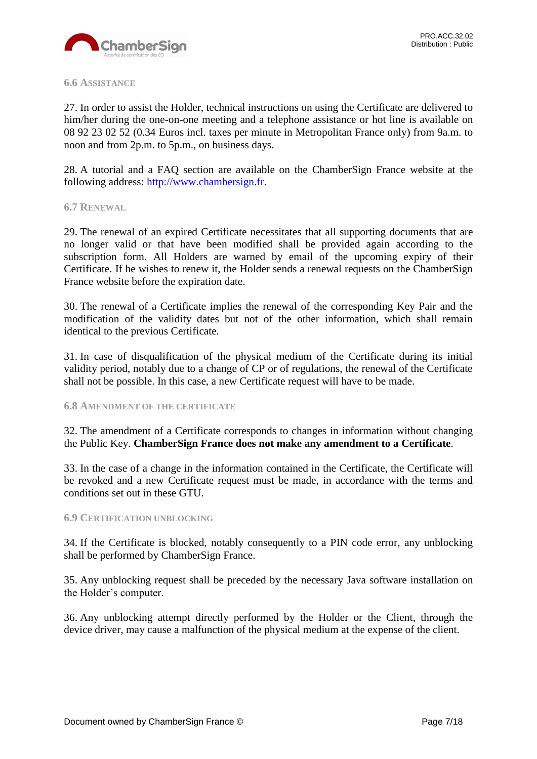

#### <span id="page-6-0"></span>**6.6 ASSISTANCE**

27. In order to assist the Holder, technical instructions on using the Certificate are delivered to him/her during the one-on-one meeting and a telephone assistance or hot line is available on 08 92 23 02 52 (0.34 Euros incl. taxes per minute in Metropolitan France only) from 9a.m. to noon and from 2p.m. to 5p.m., on business days.

28. A tutorial and a FAQ section are available on the ChamberSign France website at the following address: [http://www.chambersign.fr.](http://www.chambersign.fr/)

#### <span id="page-6-1"></span>**6.7 RENEWAL**

29. The renewal of an expired Certificate necessitates that all supporting documents that are no longer valid or that have been modified shall be provided again according to the subscription form. All Holders are warned by email of the upcoming expiry of their Certificate. If he wishes to renew it, the Holder sends a renewal requests on the ChamberSign France website before the expiration date.

30. The renewal of a Certificate implies the renewal of the corresponding Key Pair and the modification of the validity dates but not of the other information, which shall remain identical to the previous Certificate.

31. In case of disqualification of the physical medium of the Certificate during its initial validity period, notably due to a change of CP or of regulations, the renewal of the Certificate shall not be possible. In this case, a new Certificate request will have to be made.

#### <span id="page-6-2"></span>**6.8 AMENDMENT OF THE CERTIFICATE**

32. The amendment of a Certificate corresponds to changes in information without changing the Public Key. **ChamberSign France does not make any amendment to a Certificate**.

33. In the case of a change in the information contained in the Certificate, the Certificate will be revoked and a new Certificate request must be made, in accordance with the terms and conditions set out in these GTU.

#### <span id="page-6-3"></span>**6.9 CERTIFICATION UNBLOCKING**

34. If the Certificate is blocked, notably consequently to a PIN code error, any unblocking shall be performed by ChamberSign France.

35. Any unblocking request shall be preceded by the necessary Java software installation on the Holder's computer.

36. Any unblocking attempt directly performed by the Holder or the Client, through the device driver, may cause a malfunction of the physical medium at the expense of the client.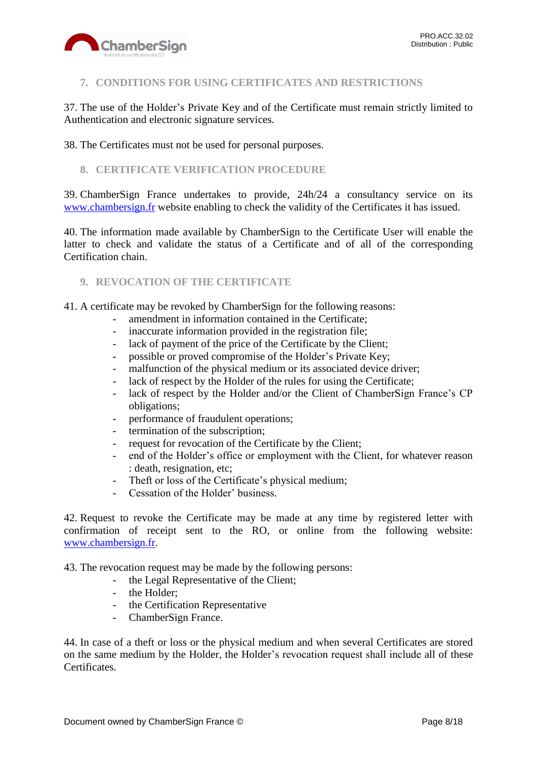

# <span id="page-7-0"></span>**7. CONDITIONS FOR USING CERTIFICATES AND RESTRICTIONS**

37. The use of the Holder's Private Key and of the Certificate must remain strictly limited to Authentication and electronic signature services.

38. The Certificates must not be used for personal purposes.

# <span id="page-7-1"></span>**8. CERTIFICATE VERIFICATION PROCEDURE**

39. ChamberSign France undertakes to provide, 24h/24 a consultancy service on its [www.chambersign.fr](http://www.chambersign.fr/) website enabling to check the validity of the Certificates it has issued.

40. The information made available by ChamberSign to the Certificate User will enable the latter to check and validate the status of a Certificate and of all of the corresponding Certification chain.

## <span id="page-7-2"></span>**9. REVOCATION OF THE CERTIFICATE**

41. A certificate may be revoked by ChamberSign for the following reasons:

- amendment in information contained in the Certificate;
- inaccurate information provided in the registration file;
- lack of payment of the price of the Certificate by the Client;
- possible or proved compromise of the Holder's Private Key;
- malfunction of the physical medium or its associated device driver;
- lack of respect by the Holder of the rules for using the Certificate;
- lack of respect by the Holder and/or the Client of ChamberSign France's CP obligations;
- performance of fraudulent operations;
- termination of the subscription;
- request for revocation of the Certificate by the Client;
- end of the Holder's office or employment with the Client, for whatever reason : death, resignation, etc;
- Theft or loss of the Certificate's physical medium;
- Cessation of the Holder' business.

42. Request to revoke the Certificate may be made at any time by registered letter with confirmation of receipt sent to the RO, or online from the following website: [www.chambersign.fr.](http://www.chambersign.fr/)

43. The revocation request may be made by the following persons:

- the Legal Representative of the Client;
- the Holder;
- the Certification Representative
- ChamberSign France.

44. In case of a theft or loss or the physical medium and when several Certificates are stored on the same medium by the Holder, the Holder's revocation request shall include all of these Certificates.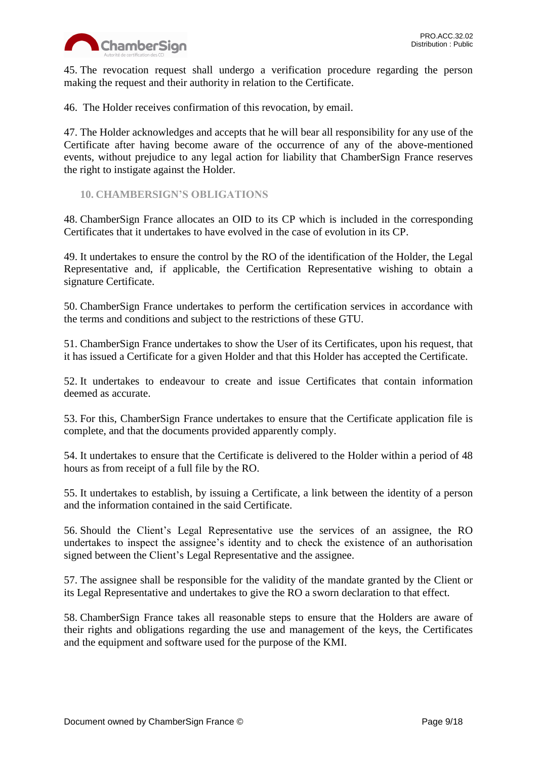

45. The revocation request shall undergo a verification procedure regarding the person making the request and their authority in relation to the Certificate.

46. The Holder receives confirmation of this revocation, by email.

47. The Holder acknowledges and accepts that he will bear all responsibility for any use of the Certificate after having become aware of the occurrence of any of the above-mentioned events, without prejudice to any legal action for liability that ChamberSign France reserves the right to instigate against the Holder.

<span id="page-8-0"></span>**10. CHAMBERSIGN'S OBLIGATIONS**

48. ChamberSign France allocates an OID to its CP which is included in the corresponding Certificates that it undertakes to have evolved in the case of evolution in its CP.

49. It undertakes to ensure the control by the RO of the identification of the Holder, the Legal Representative and, if applicable, the Certification Representative wishing to obtain a signature Certificate.

50. ChamberSign France undertakes to perform the certification services in accordance with the terms and conditions and subject to the restrictions of these GTU.

51. ChamberSign France undertakes to show the User of its Certificates, upon his request, that it has issued a Certificate for a given Holder and that this Holder has accepted the Certificate.

52. It undertakes to endeavour to create and issue Certificates that contain information deemed as accurate.

53. For this, ChamberSign France undertakes to ensure that the Certificate application file is complete, and that the documents provided apparently comply.

54. It undertakes to ensure that the Certificate is delivered to the Holder within a period of 48 hours as from receipt of a full file by the RO.

55. It undertakes to establish, by issuing a Certificate, a link between the identity of a person and the information contained in the said Certificate.

56. Should the Client's Legal Representative use the services of an assignee, the RO undertakes to inspect the assignee's identity and to check the existence of an authorisation signed between the Client's Legal Representative and the assignee.

57. The assignee shall be responsible for the validity of the mandate granted by the Client or its Legal Representative and undertakes to give the RO a sworn declaration to that effect.

58. ChamberSign France takes all reasonable steps to ensure that the Holders are aware of their rights and obligations regarding the use and management of the keys, the Certificates and the equipment and software used for the purpose of the KMI.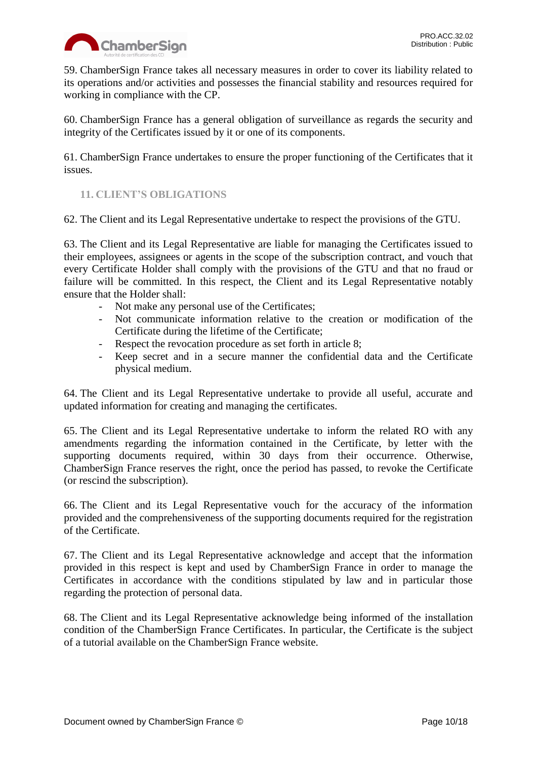

59. ChamberSign France takes all necessary measures in order to cover its liability related to its operations and/or activities and possesses the financial stability and resources required for working in compliance with the CP.

60. ChamberSign France has a general obligation of surveillance as regards the security and integrity of the Certificates issued by it or one of its components.

61. ChamberSign France undertakes to ensure the proper functioning of the Certificates that it issues.

# <span id="page-9-0"></span>**11. CLIENT'S OBLIGATIONS**

62. The Client and its Legal Representative undertake to respect the provisions of the GTU.

63. The Client and its Legal Representative are liable for managing the Certificates issued to their employees, assignees or agents in the scope of the subscription contract, and vouch that every Certificate Holder shall comply with the provisions of the GTU and that no fraud or failure will be committed. In this respect, the Client and its Legal Representative notably ensure that the Holder shall:

- Not make any personal use of the Certificates;
- Not communicate information relative to the creation or modification of the Certificate during the lifetime of the Certificate;
- Respect the revocation procedure as set forth in article 8;
- Keep secret and in a secure manner the confidential data and the Certificate physical medium.

64. The Client and its Legal Representative undertake to provide all useful, accurate and updated information for creating and managing the certificates.

65. The Client and its Legal Representative undertake to inform the related RO with any amendments regarding the information contained in the Certificate, by letter with the supporting documents required, within 30 days from their occurrence. Otherwise, ChamberSign France reserves the right, once the period has passed, to revoke the Certificate (or rescind the subscription).

66. The Client and its Legal Representative vouch for the accuracy of the information provided and the comprehensiveness of the supporting documents required for the registration of the Certificate.

67. The Client and its Legal Representative acknowledge and accept that the information provided in this respect is kept and used by ChamberSign France in order to manage the Certificates in accordance with the conditions stipulated by law and in particular those regarding the protection of personal data.

68. The Client and its Legal Representative acknowledge being informed of the installation condition of the ChamberSign France Certificates. In particular, the Certificate is the subject of a tutorial available on the ChamberSign France website.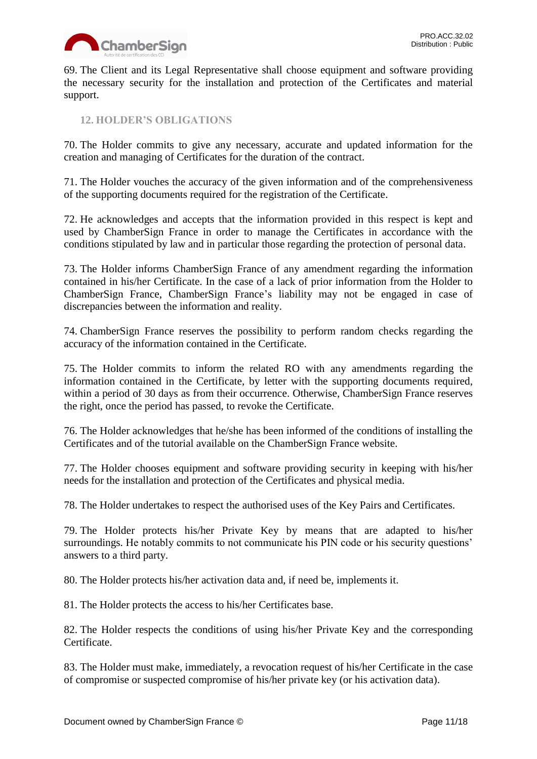

69. The Client and its Legal Representative shall choose equipment and software providing the necessary security for the installation and protection of the Certificates and material support.

<span id="page-10-0"></span>**12. HOLDER'S OBLIGATIONS**

70. The Holder commits to give any necessary, accurate and updated information for the creation and managing of Certificates for the duration of the contract.

71. The Holder vouches the accuracy of the given information and of the comprehensiveness of the supporting documents required for the registration of the Certificate.

72. He acknowledges and accepts that the information provided in this respect is kept and used by ChamberSign France in order to manage the Certificates in accordance with the conditions stipulated by law and in particular those regarding the protection of personal data.

73. The Holder informs ChamberSign France of any amendment regarding the information contained in his/her Certificate. In the case of a lack of prior information from the Holder to ChamberSign France, ChamberSign France's liability may not be engaged in case of discrepancies between the information and reality.

74. ChamberSign France reserves the possibility to perform random checks regarding the accuracy of the information contained in the Certificate.

75. The Holder commits to inform the related RO with any amendments regarding the information contained in the Certificate, by letter with the supporting documents required, within a period of 30 days as from their occurrence. Otherwise, ChamberSign France reserves the right, once the period has passed, to revoke the Certificate.

76. The Holder acknowledges that he/she has been informed of the conditions of installing the Certificates and of the tutorial available on the ChamberSign France website.

77. The Holder chooses equipment and software providing security in keeping with his/her needs for the installation and protection of the Certificates and physical media.

78. The Holder undertakes to respect the authorised uses of the Key Pairs and Certificates.

79. The Holder protects his/her Private Key by means that are adapted to his/her surroundings. He notably commits to not communicate his PIN code or his security questions' answers to a third party.

80. The Holder protects his/her activation data and, if need be, implements it.

81. The Holder protects the access to his/her Certificates base.

82. The Holder respects the conditions of using his/her Private Key and the corresponding Certificate.

83. The Holder must make, immediately, a revocation request of his/her Certificate in the case of compromise or suspected compromise of his/her private key (or his activation data).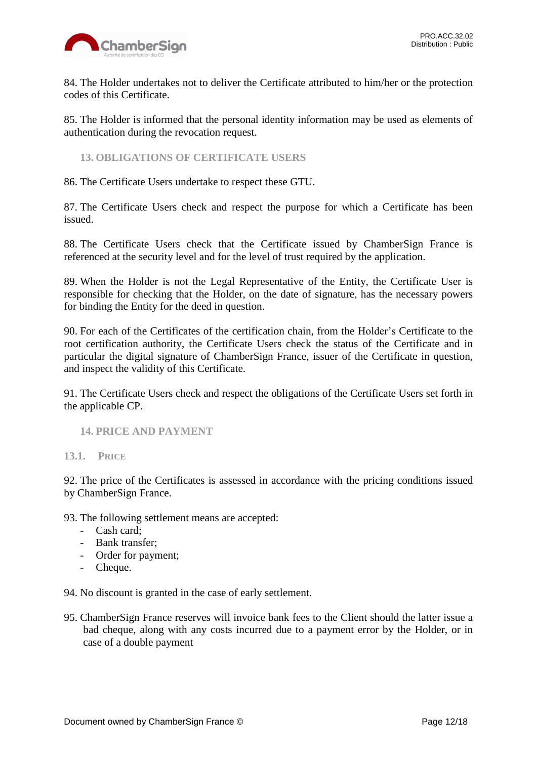

84. The Holder undertakes not to deliver the Certificate attributed to him/her or the protection codes of this Certificate.

85. The Holder is informed that the personal identity information may be used as elements of authentication during the revocation request.

<span id="page-11-0"></span>**13. OBLIGATIONS OF CERTIFICATE USERS**

86. The Certificate Users undertake to respect these GTU.

87. The Certificate Users check and respect the purpose for which a Certificate has been issued.

88. The Certificate Users check that the Certificate issued by ChamberSign France is referenced at the security level and for the level of trust required by the application.

89. When the Holder is not the Legal Representative of the Entity, the Certificate User is responsible for checking that the Holder, on the date of signature, has the necessary powers for binding the Entity for the deed in question.

90. For each of the Certificates of the certification chain, from the Holder's Certificate to the root certification authority, the Certificate Users check the status of the Certificate and in particular the digital signature of ChamberSign France, issuer of the Certificate in question, and inspect the validity of this Certificate.

91. The Certificate Users check and respect the obligations of the Certificate Users set forth in the applicable CP.

#### <span id="page-11-2"></span><span id="page-11-1"></span>**14. PRICE AND PAYMENT**

**13.1. PRICE**

92. The price of the Certificates is assessed in accordance with the pricing conditions issued by ChamberSign France.

93. The following settlement means are accepted:

- Cash card;
- Bank transfer;
- Order for payment;
- Cheque.

94. No discount is granted in the case of early settlement.

95. ChamberSign France reserves will invoice bank fees to the Client should the latter issue a bad cheque, along with any costs incurred due to a payment error by the Holder, or in case of a double payment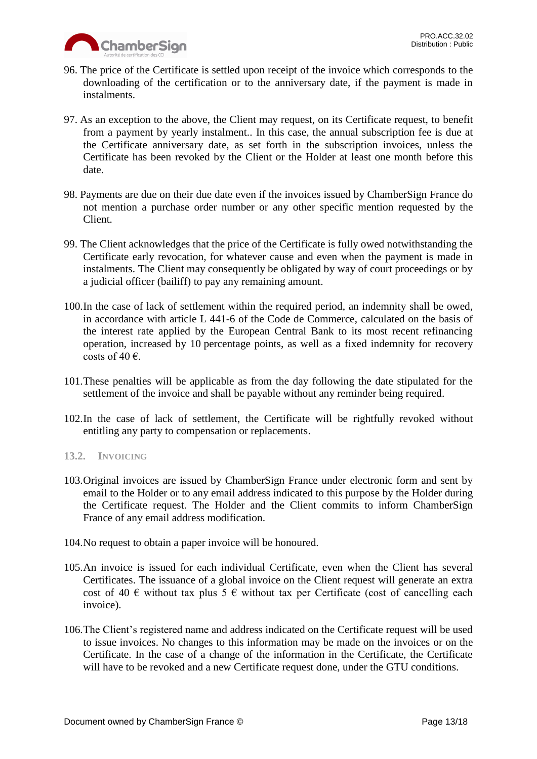

- 96. The price of the Certificate is settled upon receipt of the invoice which corresponds to the downloading of the certification or to the anniversary date, if the payment is made in instalments.
- 97. As an exception to the above, the Client may request, on its Certificate request, to benefit from a payment by yearly instalment.. In this case, the annual subscription fee is due at the Certificate anniversary date, as set forth in the subscription invoices, unless the Certificate has been revoked by the Client or the Holder at least one month before this date.
- 98. Payments are due on their due date even if the invoices issued by ChamberSign France do not mention a purchase order number or any other specific mention requested by the Client.
- 99. The Client acknowledges that the price of the Certificate is fully owed notwithstanding the Certificate early revocation, for whatever cause and even when the payment is made in instalments. The Client may consequently be obligated by way of court proceedings or by a judicial officer (bailiff) to pay any remaining amount.
- 100.In the case of lack of settlement within the required period, an indemnity shall be owed, in accordance with article L 441-6 of the Code de Commerce, calculated on the basis of the interest rate applied by the European Central Bank to its most recent refinancing operation, increased by 10 percentage points, as well as a fixed indemnity for recovery costs of 40 $\epsilon$ .
- 101.These penalties will be applicable as from the day following the date stipulated for the settlement of the invoice and shall be payable without any reminder being required.
- 102.In the case of lack of settlement, the Certificate will be rightfully revoked without entitling any party to compensation or replacements.

## <span id="page-12-0"></span>**13.2. INVOICING**

- 103.Original invoices are issued by ChamberSign France under electronic form and sent by email to the Holder or to any email address indicated to this purpose by the Holder during the Certificate request. The Holder and the Client commits to inform ChamberSign France of any email address modification.
- 104.No request to obtain a paper invoice will be honoured.
- 105.An invoice is issued for each individual Certificate, even when the Client has several Certificates. The issuance of a global invoice on the Client request will generate an extra cost of 40  $\epsilon$  without tax plus 5  $\epsilon$  without tax per Certificate (cost of cancelling each invoice).
- 106.The Client's registered name and address indicated on the Certificate request will be used to issue invoices. No changes to this information may be made on the invoices or on the Certificate. In the case of a change of the information in the Certificate, the Certificate will have to be revoked and a new Certificate request done, under the GTU conditions.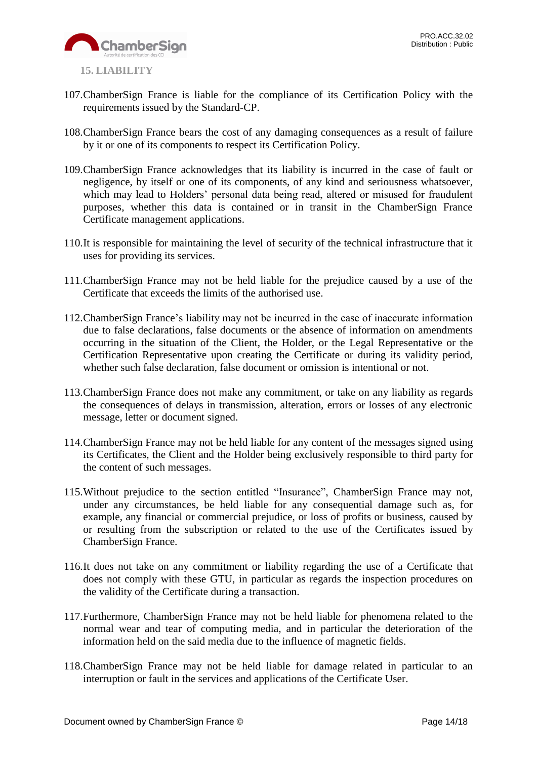

- <span id="page-13-0"></span>107.ChamberSign France is liable for the compliance of its Certification Policy with the requirements issued by the Standard-CP.
- 108.ChamberSign France bears the cost of any damaging consequences as a result of failure by it or one of its components to respect its Certification Policy.
- 109.ChamberSign France acknowledges that its liability is incurred in the case of fault or negligence, by itself or one of its components, of any kind and seriousness whatsoever, which may lead to Holders' personal data being read, altered or misused for fraudulent purposes, whether this data is contained or in transit in the ChamberSign France Certificate management applications.
- 110.It is responsible for maintaining the level of security of the technical infrastructure that it uses for providing its services.
- 111.ChamberSign France may not be held liable for the prejudice caused by a use of the Certificate that exceeds the limits of the authorised use.
- 112.ChamberSign France's liability may not be incurred in the case of inaccurate information due to false declarations, false documents or the absence of information on amendments occurring in the situation of the Client, the Holder, or the Legal Representative or the Certification Representative upon creating the Certificate or during its validity period, whether such false declaration, false document or omission is intentional or not.
- 113.ChamberSign France does not make any commitment, or take on any liability as regards the consequences of delays in transmission, alteration, errors or losses of any electronic message, letter or document signed.
- 114.ChamberSign France may not be held liable for any content of the messages signed using its Certificates, the Client and the Holder being exclusively responsible to third party for the content of such messages.
- 115.Without prejudice to the section entitled "Insurance", ChamberSign France may not, under any circumstances, be held liable for any consequential damage such as, for example, any financial or commercial prejudice, or loss of profits or business, caused by or resulting from the subscription or related to the use of the Certificates issued by ChamberSign France.
- 116.It does not take on any commitment or liability regarding the use of a Certificate that does not comply with these GTU, in particular as regards the inspection procedures on the validity of the Certificate during a transaction.
- 117.Furthermore, ChamberSign France may not be held liable for phenomena related to the normal wear and tear of computing media, and in particular the deterioration of the information held on the said media due to the influence of magnetic fields.
- 118.ChamberSign France may not be held liable for damage related in particular to an interruption or fault in the services and applications of the Certificate User.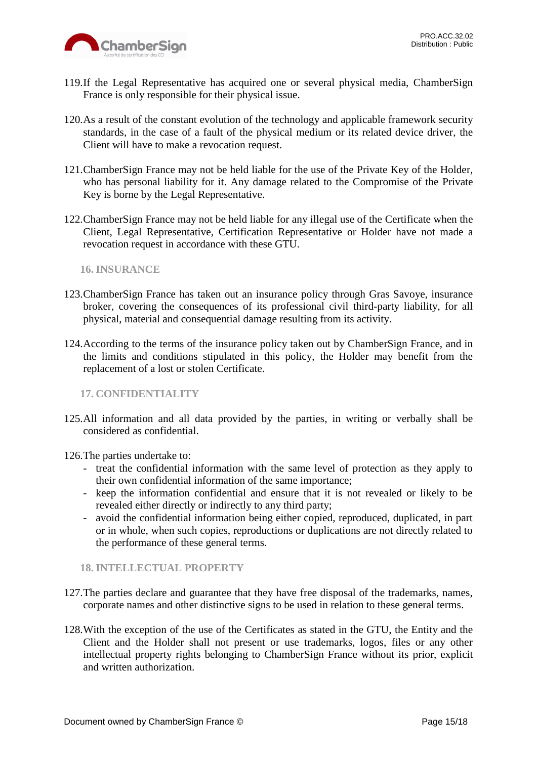

- 119.If the Legal Representative has acquired one or several physical media, ChamberSign France is only responsible for their physical issue.
- 120.As a result of the constant evolution of the technology and applicable framework security standards, in the case of a fault of the physical medium or its related device driver, the Client will have to make a revocation request.
- 121.ChamberSign France may not be held liable for the use of the Private Key of the Holder, who has personal liability for it. Any damage related to the Compromise of the Private Key is borne by the Legal Representative.
- 122.ChamberSign France may not be held liable for any illegal use of the Certificate when the Client, Legal Representative, Certification Representative or Holder have not made a revocation request in accordance with these GTU.

<span id="page-14-0"></span>**16. INSURANCE**

- 123.ChamberSign France has taken out an insurance policy through Gras Savoye, insurance broker, covering the consequences of its professional civil third-party liability, for all physical, material and consequential damage resulting from its activity.
- 124.According to the terms of the insurance policy taken out by ChamberSign France, and in the limits and conditions stipulated in this policy, the Holder may benefit from the replacement of a lost or stolen Certificate.

<span id="page-14-1"></span>**17. CONFIDENTIALITY**

125.All information and all data provided by the parties, in writing or verbally shall be considered as confidential.

126.The parties undertake to:

- treat the confidential information with the same level of protection as they apply to their own confidential information of the same importance;
- keep the information confidential and ensure that it is not revealed or likely to be revealed either directly or indirectly to any third party;
- avoid the confidential information being either copied, reproduced, duplicated, in part or in whole, when such copies, reproductions or duplications are not directly related to the performance of these general terms.

<span id="page-14-2"></span>**18. INTELLECTUAL PROPERTY**

- 127.The parties declare and guarantee that they have free disposal of the trademarks, names, corporate names and other distinctive signs to be used in relation to these general terms.
- 128.With the exception of the use of the Certificates as stated in the GTU, the Entity and the Client and the Holder shall not present or use trademarks, logos, files or any other intellectual property rights belonging to ChamberSign France without its prior, explicit and written authorization.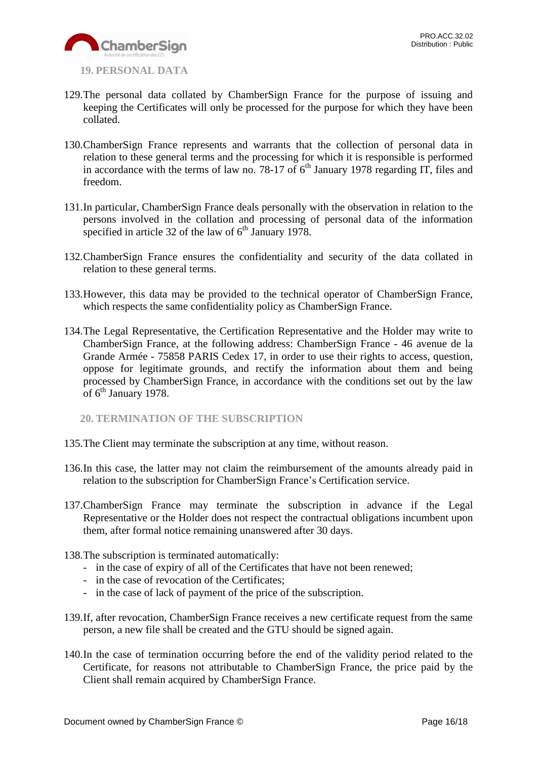

- <span id="page-15-0"></span>**19. PERSONAL DATA**
- 129.The personal data collated by ChamberSign France for the purpose of issuing and keeping the Certificates will only be processed for the purpose for which they have been collated.
- 130.ChamberSign France represents and warrants that the collection of personal data in relation to these general terms and the processing for which it is responsible is performed in accordance with the terms of law no. 78-17 of  $6<sup>th</sup>$  January 1978 regarding IT, files and freedom.
- 131.In particular, ChamberSign France deals personally with the observation in relation to the persons involved in the collation and processing of personal data of the information specified in article 32 of the law of  $6<sup>th</sup>$  January 1978.
- 132.ChamberSign France ensures the confidentiality and security of the data collated in relation to these general terms.
- 133.However, this data may be provided to the technical operator of ChamberSign France, which respects the same confidentiality policy as ChamberSign France.
- 134.The Legal Representative, the Certification Representative and the Holder may write to ChamberSign France, at the following address: ChamberSign France - 46 avenue de la Grande Armée - 75858 PARIS Cedex 17, in order to use their rights to access, question, oppose for legitimate grounds, and rectify the information about them and being processed by ChamberSign France, in accordance with the conditions set out by the law of 6<sup>th</sup> January 1978.

<span id="page-15-1"></span>**20. TERMINATION OF THE SUBSCRIPTION**

- 135.The Client may terminate the subscription at any time, without reason.
- 136.In this case, the latter may not claim the reimbursement of the amounts already paid in relation to the subscription for ChamberSign France's Certification service.
- 137.ChamberSign France may terminate the subscription in advance if the Legal Representative or the Holder does not respect the contractual obligations incumbent upon them, after formal notice remaining unanswered after 30 days.
- 138.The subscription is terminated automatically:
	- in the case of expiry of all of the Certificates that have not been renewed;
	- in the case of revocation of the Certificates;
	- in the case of lack of payment of the price of the subscription.
- 139.If, after revocation, ChamberSign France receives a new certificate request from the same person, a new file shall be created and the GTU should be signed again.
- 140.In the case of termination occurring before the end of the validity period related to the Certificate, for reasons not attributable to ChamberSign France, the price paid by the Client shall remain acquired by ChamberSign France.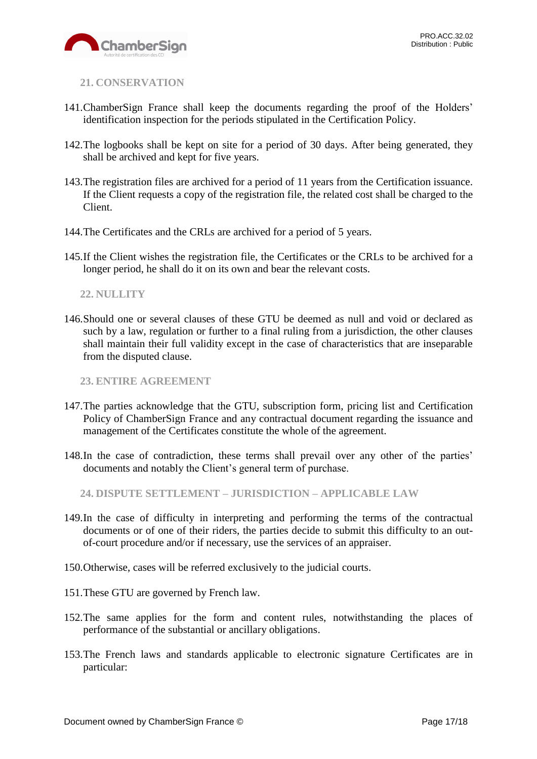

<span id="page-16-0"></span>**21. CONSERVATION**

- 141.ChamberSign France shall keep the documents regarding the proof of the Holders' identification inspection for the periods stipulated in the Certification Policy.
- 142.The logbooks shall be kept on site for a period of 30 days. After being generated, they shall be archived and kept for five years.
- 143.The registration files are archived for a period of 11 years from the Certification issuance. If the Client requests a copy of the registration file, the related cost shall be charged to the Client.
- 144.The Certificates and the CRLs are archived for a period of 5 years.
- 145.If the Client wishes the registration file, the Certificates or the CRLs to be archived for a longer period, he shall do it on its own and bear the relevant costs.

#### <span id="page-16-1"></span>**22. NULLITY**

146.Should one or several clauses of these GTU be deemed as null and void or declared as such by a law, regulation or further to a final ruling from a jurisdiction, the other clauses shall maintain their full validity except in the case of characteristics that are inseparable from the disputed clause.

<span id="page-16-2"></span>**23. ENTIRE AGREEMENT**

- 147.The parties acknowledge that the GTU, subscription form, pricing list and Certification Policy of ChamberSign France and any contractual document regarding the issuance and management of the Certificates constitute the whole of the agreement.
- 148.In the case of contradiction, these terms shall prevail over any other of the parties' documents and notably the Client's general term of purchase.

<span id="page-16-3"></span>**24. DISPUTE SETTLEMENT – JURISDICTION – APPLICABLE LAW**

- 149.In the case of difficulty in interpreting and performing the terms of the contractual documents or of one of their riders, the parties decide to submit this difficulty to an outof-court procedure and/or if necessary, use the services of an appraiser.
- 150.Otherwise, cases will be referred exclusively to the judicial courts.
- 151.These GTU are governed by French law.
- 152.The same applies for the form and content rules, notwithstanding the places of performance of the substantial or ancillary obligations.
- 153.The French laws and standards applicable to electronic signature Certificates are in particular: